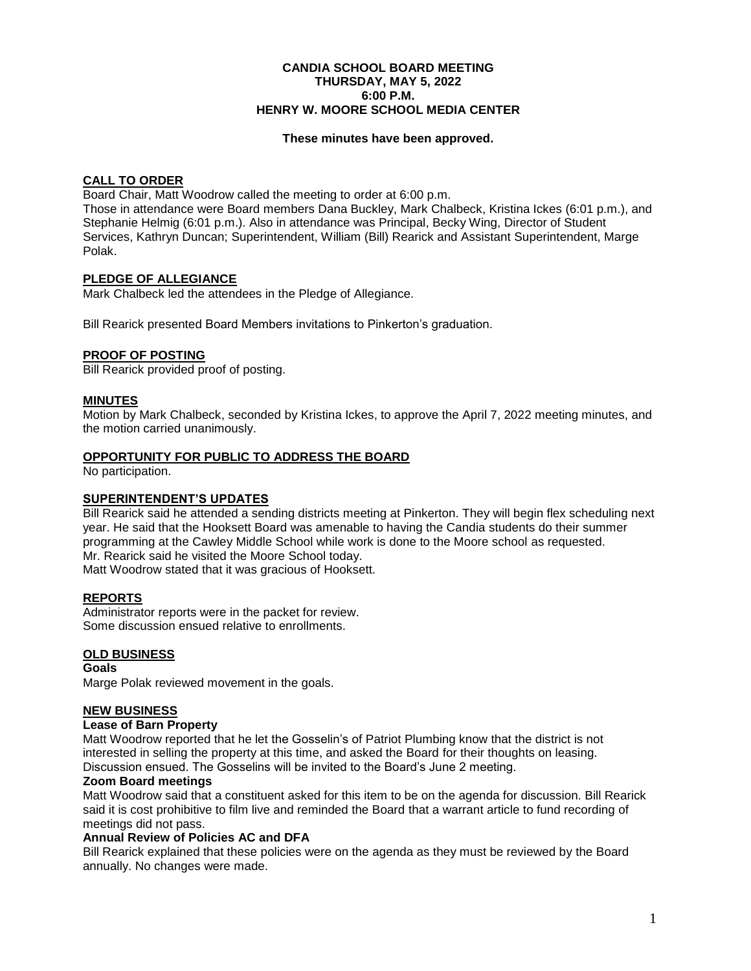#### **CANDIA SCHOOL BOARD MEETING THURSDAY, MAY 5, 2022 6:00 P.M. HENRY W. MOORE SCHOOL MEDIA CENTER**

#### **These minutes have been approved.**

### **CALL TO ORDER**

Board Chair, Matt Woodrow called the meeting to order at 6:00 p.m.

Those in attendance were Board members Dana Buckley, Mark Chalbeck, Kristina Ickes (6:01 p.m.), and Stephanie Helmig (6:01 p.m.). Also in attendance was Principal, Becky Wing, Director of Student Services, Kathryn Duncan; Superintendent, William (Bill) Rearick and Assistant Superintendent, Marge Polak.

# **PLEDGE OF ALLEGIANCE**

Mark Chalbeck led the attendees in the Pledge of Allegiance.

Bill Rearick presented Board Members invitations to Pinkerton's graduation.

### **PROOF OF POSTING**

Bill Rearick provided proof of posting.

### **MINUTES**

Motion by Mark Chalbeck, seconded by Kristina Ickes, to approve the April 7, 2022 meeting minutes, and the motion carried unanimously.

### **OPPORTUNITY FOR PUBLIC TO ADDRESS THE BOARD**

No participation.

### **SUPERINTENDENT'S UPDATES**

Bill Rearick said he attended a sending districts meeting at Pinkerton. They will begin flex scheduling next year. He said that the Hooksett Board was amenable to having the Candia students do their summer programming at the Cawley Middle School while work is done to the Moore school as requested. Mr. Rearick said he visited the Moore School today. Matt Woodrow stated that it was gracious of Hooksett.

### **REPORTS**

Administrator reports were in the packet for review. Some discussion ensued relative to enrollments.

# **OLD BUSINESS**

**Goals** Marge Polak reviewed movement in the goals.

# **NEW BUSINESS**

### **Lease of Barn Property**

Matt Woodrow reported that he let the Gosselin's of Patriot Plumbing know that the district is not interested in selling the property at this time, and asked the Board for their thoughts on leasing. Discussion ensued. The Gosselins will be invited to the Board's June 2 meeting.

### **Zoom Board meetings**

Matt Woodrow said that a constituent asked for this item to be on the agenda for discussion. Bill Rearick said it is cost prohibitive to film live and reminded the Board that a warrant article to fund recording of meetings did not pass.

### **Annual Review of Policies AC and DFA**

Bill Rearick explained that these policies were on the agenda as they must be reviewed by the Board annually. No changes were made.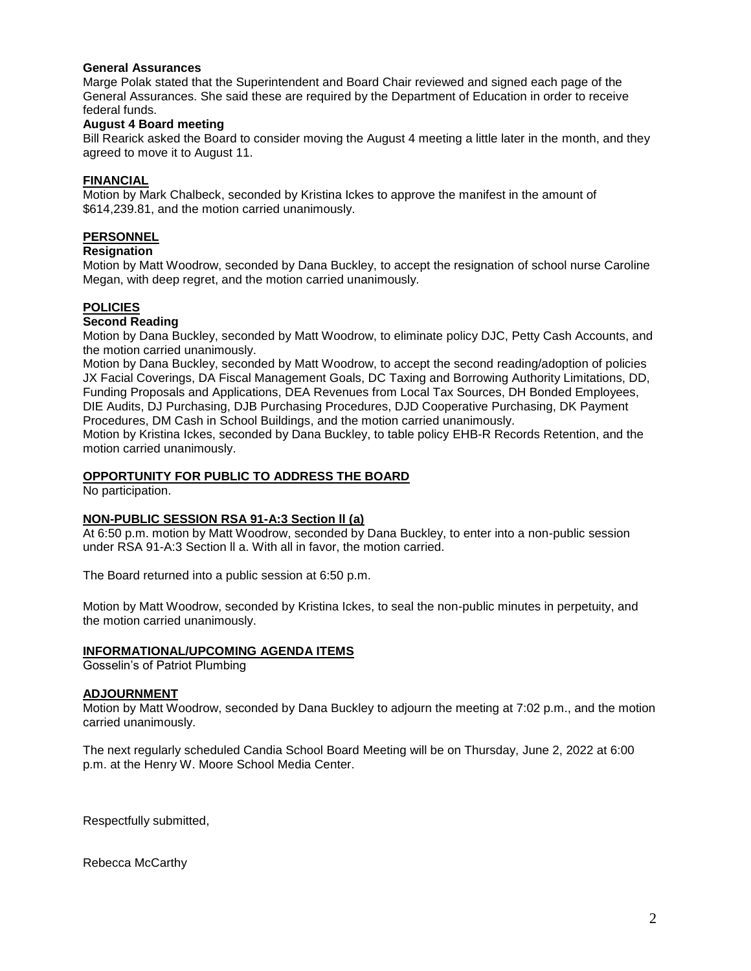### **General Assurances**

Marge Polak stated that the Superintendent and Board Chair reviewed and signed each page of the General Assurances. She said these are required by the Department of Education in order to receive federal funds.

# **August 4 Board meeting**

Bill Rearick asked the Board to consider moving the August 4 meeting a little later in the month, and they agreed to move it to August 11.

### **FINANCIAL**

Motion by Mark Chalbeck, seconded by Kristina Ickes to approve the manifest in the amount of \$614,239.81, and the motion carried unanimously.

### **PERSONNEL**

#### **Resignation**

Motion by Matt Woodrow, seconded by Dana Buckley, to accept the resignation of school nurse Caroline Megan, with deep regret, and the motion carried unanimously.

# **POLICIES**

### **Second Reading**

Motion by Dana Buckley, seconded by Matt Woodrow, to eliminate policy DJC, Petty Cash Accounts, and the motion carried unanimously.

Motion by Dana Buckley, seconded by Matt Woodrow, to accept the second reading/adoption of policies JX Facial Coverings, DA Fiscal Management Goals, DC Taxing and Borrowing Authority Limitations, DD, Funding Proposals and Applications, DEA Revenues from Local Tax Sources, DH Bonded Employees, DIE Audits, DJ Purchasing, DJB Purchasing Procedures, DJD Cooperative Purchasing, DK Payment Procedures, DM Cash in School Buildings, and the motion carried unanimously.

Motion by Kristina Ickes, seconded by Dana Buckley, to table policy EHB-R Records Retention, and the motion carried unanimously.

### **OPPORTUNITY FOR PUBLIC TO ADDRESS THE BOARD**

No participation.

### **NON-PUBLIC SESSION RSA 91-A:3 Section ll (a)**

At 6:50 p.m. motion by Matt Woodrow, seconded by Dana Buckley, to enter into a non-public session under RSA 91-A:3 Section ll a. With all in favor, the motion carried.

The Board returned into a public session at 6:50 p.m.

Motion by Matt Woodrow, seconded by Kristina Ickes, to seal the non-public minutes in perpetuity, and the motion carried unanimously.

# **INFORMATIONAL/UPCOMING AGENDA ITEMS**

Gosselin's of Patriot Plumbing

### **ADJOURNMENT**

Motion by Matt Woodrow, seconded by Dana Buckley to adjourn the meeting at 7:02 p.m., and the motion carried unanimously.

The next regularly scheduled Candia School Board Meeting will be on Thursday, June 2, 2022 at 6:00 p.m. at the Henry W. Moore School Media Center.

Respectfully submitted,

Rebecca McCarthy